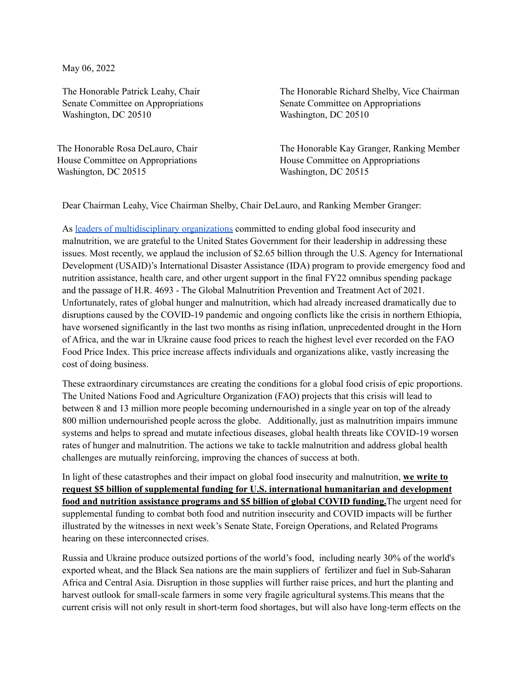May 06, 2022

The Honorable Patrick Leahy, Chair Senate Committee on Appropriations Washington, DC 20510

The Honorable Rosa DeLauro, Chair House Committee on Appropriations Washington, DC 20515

The Honorable Richard Shelby, Vice Chairman Senate Committee on Appropriations Washington, DC 20510

The Honorable Kay Granger, Ranking Member House Committee on Appropriations Washington, DC 20515

Dear Chairman Leahy, Vice Chairman Shelby, Chair DeLauro, and Ranking Member Granger:

As leaders of [multidisciplinary](https://www.nutritionceocouncil.com/membership/) organizations committed to ending global food insecurity and malnutrition, we are grateful to the United States Government for their leadership in addressing these issues. Most recently, we applaud the inclusion of \$2.65 billion through the U.S. Agency for International Development (USAID)'s International Disaster Assistance (IDA) program to provide emergency food and nutrition assistance, health care, and other urgent support in the final FY22 omnibus spending package and the passage of H.R. 4693 - The Global Malnutrition Prevention and Treatment Act of 2021. Unfortunately, rates of global hunger and malnutrition, which had already increased dramatically due to disruptions caused by the COVID-19 pandemic and ongoing conflicts like the crisis in northern Ethiopia, have worsened significantly in the last two months as rising inflation, unprecedented drought in the Horn of Africa, and the war in Ukraine cause food prices to reach the highest level ever recorded on the FAO Food Price Index. This price increase affects individuals and organizations alike, vastly increasing the cost of doing business.

These extraordinary circumstances are creating the conditions for a global food crisis of epic proportions. The United Nations Food and Agriculture Organization (FAO) projects that this crisis will lead to between 8 and 13 million more people becoming undernourished in a single year on top of the already 800 million undernourished people across the globe. Additionally, just as malnutrition impairs immune systems and helps to spread and mutate infectious diseases, global health threats like COVID-19 worsen rates of hunger and malnutrition. The actions we take to tackle malnutrition and address global health challenges are mutually reinforcing, improving the chances of success at both.

In light of these catastrophes and their impact on global food insecurity and malnutrition, **we write to request \$5 billion of supplemental funding for U.S. international humanitarian and development food and nutrition assistance programs and \$5 billion of global COVID funding.**The urgent need for supplemental funding to combat both food and nutrition insecurity and COVID impacts will be further illustrated by the witnesses in next week's Senate State, Foreign Operations, and Related Programs hearing on these interconnected crises.

Russia and Ukraine produce outsized portions of the world's food, including nearly 30% of the world's exported wheat, and the Black Sea nations are the main suppliers of fertilizer and fuel in Sub-Saharan Africa and Central Asia. Disruption in those supplies will further raise prices, and hurt the planting and harvest outlook for small-scale farmers in some very fragile agricultural systems.This means that the current crisis will not only result in short-term food shortages, but will also have long-term effects on the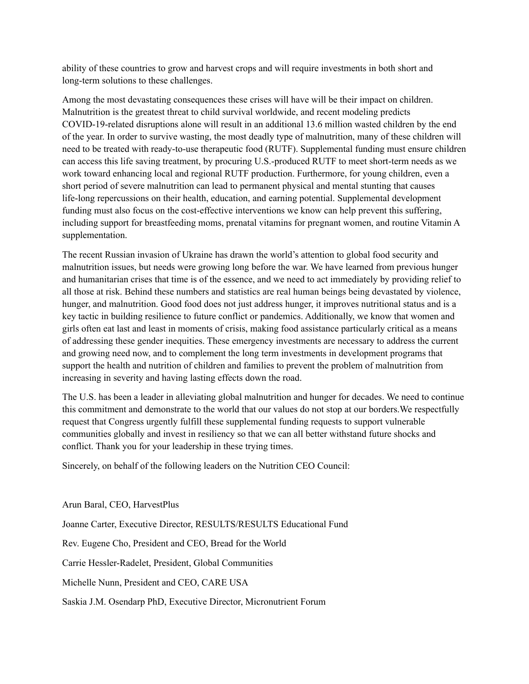ability of these countries to grow and harvest crops and will require investments in both short and long-term solutions to these challenges.

Among the most devastating consequences these crises will have will be their impact on children. Malnutrition is the greatest threat to child survival worldwide, and recent modeling predicts COVID-19-related disruptions alone will result in an additional 13.6 million wasted children by the end of the year. In order to survive wasting, the most deadly type of malnutrition, many of these children will need to be treated with ready-to-use therapeutic food (RUTF). Supplemental funding must ensure children can access this life saving treatment, by procuring U.S.-produced RUTF to meet short-term needs as we work toward enhancing local and regional RUTF production. Furthermore, for young children, even a short period of severe malnutrition can lead to permanent physical and mental stunting that causes life-long repercussions on their health, education, and earning potential. Supplemental development funding must also focus on the cost-effective interventions we know can help prevent this suffering, including support for breastfeeding moms, prenatal vitamins for pregnant women, and routine Vitamin A supplementation.

The recent Russian invasion of Ukraine has drawn the world's attention to global food security and malnutrition issues, but needs were growing long before the war. We have learned from previous hunger and humanitarian crises that time is of the essence, and we need to act immediately by providing relief to all those at risk. Behind these numbers and statistics are real human beings being devastated by violence, hunger, and malnutrition. Good food does not just address hunger, it improves nutritional status and is a key tactic in building resilience to future conflict or pandemics. Additionally, we know that women and girls often eat last and least in moments of crisis, making food assistance particularly critical as a means of addressing these gender inequities. These emergency investments are necessary to address the current and growing need now, and to complement the long term investments in development programs that support the health and nutrition of children and families to prevent the problem of malnutrition from increasing in severity and having lasting effects down the road.

The U.S. has been a leader in alleviating global malnutrition and hunger for decades. We need to continue this commitment and demonstrate to the world that our values do not stop at our borders.We respectfully request that Congress urgently fulfill these supplemental funding requests to support vulnerable communities globally and invest in resiliency so that we can all better withstand future shocks and conflict. Thank you for your leadership in these trying times.

Sincerely, on behalf of the following leaders on the Nutrition CEO Council:

Arun Baral, CEO, HarvestPlus

Joanne Carter, Executive Director, RESULTS/RESULTS Educational Fund

Rev. Eugene Cho, President and CEO, Bread for the World

Carrie Hessler-Radelet, President, Global Communities

Michelle Nunn, President and CEO, CARE USA

Saskia J.M. Osendarp PhD, Executive Director, Micronutrient Forum